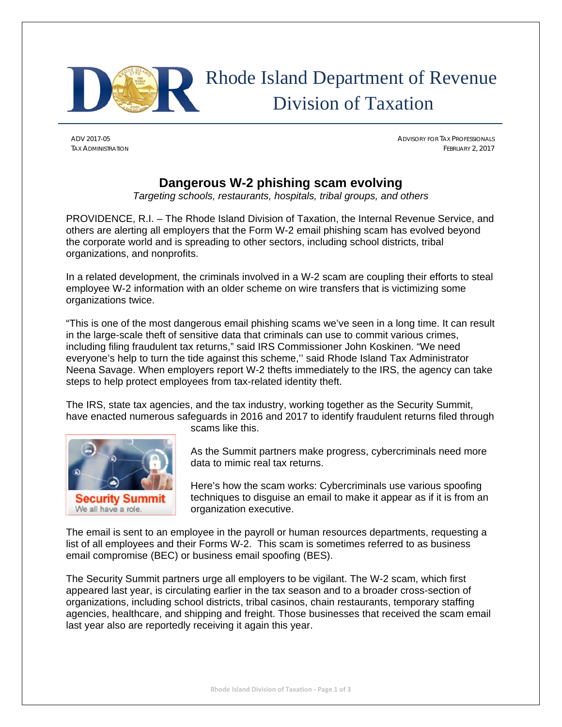

# Rhode Island Department of Revenue Division of Taxation

ADV 2017-05 ADVISORY FOR TAX PROFESSIONALS TAX ADMINISTRATION FEBRUARY 2, 2017

# **Dangerous W-2 phishing scam evolving**

*Targeting schools, restaurants, hospitals, tribal groups, and others*

PROVIDENCE, R.I. – The Rhode Island Division of Taxation, the Internal Revenue Service, and others are alerting all employers that the Form W-2 email phishing scam has evolved beyond the corporate world and is spreading to other sectors, including school districts, tribal organizations, and nonprofits.

In a related development, the criminals involved in a W-2 scam are coupling their efforts to steal employee W-2 information with an older scheme on wire transfers that is victimizing some organizations twice.

"This is one of the most dangerous email phishing scams we've seen in a long time. It can result in the large-scale theft of sensitive data that criminals can use to commit various crimes, including filing fraudulent tax returns," said IRS Commissioner John Koskinen. "We need everyone's help to turn the tide against this scheme,'' said Rhode Island Tax Administrator Neena Savage. When employers report W-2 thefts immediately to the IRS, the agency can take steps to help protect employees from tax-related identity theft.

The IRS, state tax agencies, and the tax industry, working together as the Security Summit, have enacted numerous safeguards in 2016 and 2017 to identify fraudulent returns filed through



scams like this.

As the Summit partners make progress, cybercriminals need more data to mimic real tax returns.

Here's how the scam works: Cybercriminals use various spoofing techniques to disguise an email to make it appear as if it is from an organization executive.

The email is sent to an employee in the payroll or human resources departments, requesting a list of all employees and their Forms W-2. This scam is sometimes referred to as business email compromise (BEC) or business email spoofing (BES).

The Security Summit partners urge all employers to be vigilant. The W-2 scam, which first appeared last year, is circulating earlier in the tax season and to a broader cross-section of organizations, including school districts, tribal casinos, chain restaurants, temporary staffing agencies, healthcare, and shipping and freight. Those businesses that received the scam email last year also are reportedly receiving it again this year.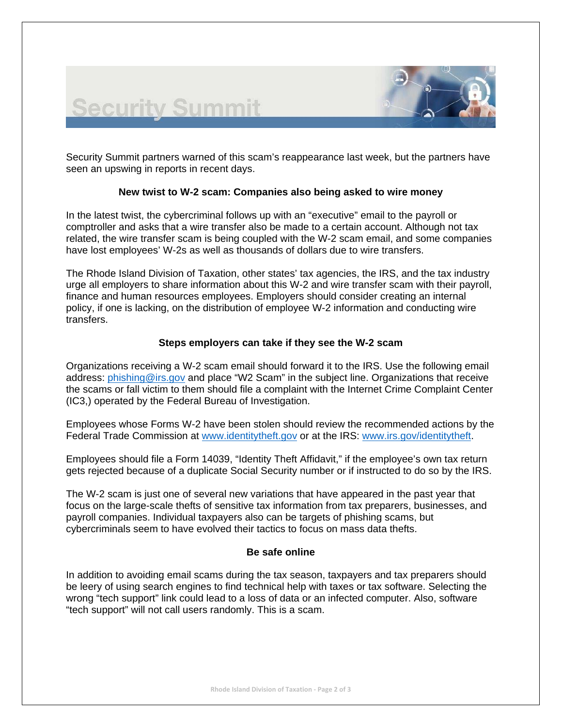

Security Summit partners warned of this scam's reappearance last week, but the partners have seen an upswing in reports in recent days.

**Security Summit** 

## **New twist to W-2 scam: Companies also being asked to wire money**

In the latest twist, the cybercriminal follows up with an "executive" email to the payroll or comptroller and asks that a wire transfer also be made to a certain account. Although not tax related, the wire transfer scam is being coupled with the W-2 scam email, and some companies have lost employees' W-2s as well as thousands of dollars due to wire transfers.

The Rhode Island Division of Taxation, other states' tax agencies, the IRS, and the tax industry urge all employers to share information about this W-2 and wire transfer scam with their payroll, finance and human resources employees. Employers should consider creating an internal policy, if one is lacking, on the distribution of employee W-2 information and conducting wire transfers.

## **Steps employers can take if they see the W-2 scam**

Organizations receiving a W-2 scam email should forward it to the IRS. Use the following email address: phishing@irs.gov and place "W2 Scam" in the subject line. Organizations that receive the scams or fall victim to them should file a complaint with the Internet Crime Complaint Center (IC3,) operated by the Federal Bureau of Investigation.

Employees whose Forms W-2 have been stolen should review the recommended actions by the Federal Trade Commission at www.identitytheft.gov or at the IRS: www.irs.gov/identitytheft.

Employees should file a Form 14039, "Identity Theft Affidavit," if the employee's own tax return gets rejected because of a duplicate Social Security number or if instructed to do so by the IRS.

The W-2 scam is just one of several new variations that have appeared in the past year that focus on the large-scale thefts of sensitive tax information from tax preparers, businesses, and payroll companies. Individual taxpayers also can be targets of phishing scams, but cybercriminals seem to have evolved their tactics to focus on mass data thefts.

#### **Be safe online**

In addition to avoiding email scams during the tax season, taxpayers and tax preparers should be leery of using search engines to find technical help with taxes or tax software. Selecting the wrong "tech support" link could lead to a loss of data or an infected computer. Also, software "tech support" will not call users randomly. This is a scam.